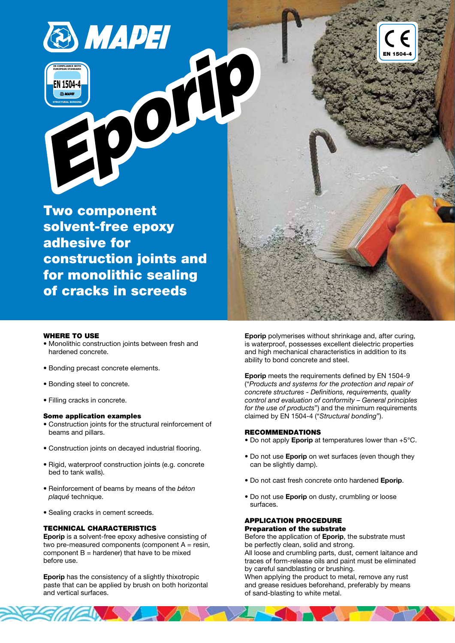



Two component solvent-free epoxy adhesive for construction joints and for monolithic sealing of cracks in screeds



#### WHERE TO USE

- Monolithic construction joints between fresh and hardened concrete.
- Bonding precast concrete elements.
- Bonding steel to concrete.
- Filling cracks in concrete.

#### Some application examples

- Construction joints for the structural reinforcement of beams and pillars.
- Construction joints on decayed industrial flooring.
- Rigid, waterproof construction joints (e.g. concrete bed to tank walls).
- Reinforcement of beams by means of the béton plaqué technique.
- Sealing cracks in cement screeds.

#### TECHNICAL CHARACTERISTICS

Eporip is a solvent-free epoxy adhesive consisting of two pre-measured components (component  $A =$  resin, component  $B =$  hardener) that have to be mixed before use.

Eporip has the consistency of a slightly thixotropic paste that can be applied by brush on both horizontal and vertical surfaces.

Eporip polymerises without shrinkage and, after curing, is waterproof, possesses excellent dielectric properties and high mechanical characteristics in addition to its ability to bond concrete and steel.

Eporip meets the requirements defined by EN 1504-9 ("Products and systems for the protection and repair of concrete structures - Definitions, requirements, quality control and evaluation of conformity – General principles for the use of products") and the minimum requirements claimed by EN 1504-4 ("Structural bonding").

### RECOMMENDATIONS

- Do not apply **Eporip** at temperatures lower than +5°C.
- Do not use **Eporip** on wet surfaces (even though they can be slightly damp).
- Do not cast fresh concrete onto hardened Eporip.
- Do not use Eporip on dusty, crumbling or loose surfaces.

### APPLICATION PROCEDURE Preparation of the substrate

Before the application of Eporip, the substrate must be perfectly clean, solid and strong.

All loose and crumbling parts, dust, cement laitance and traces of form-release oils and paint must be eliminated by careful sandblasting or brushing.

When applying the product to metal, remove any rust and grease residues beforehand, preferably by means of sand-blasting to white metal.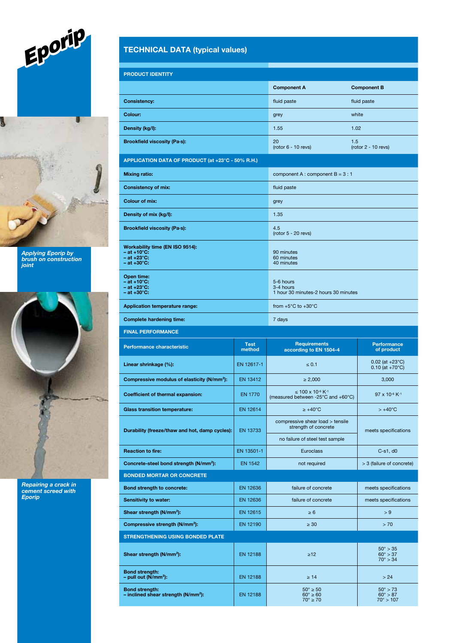

Applying Eporip by brush on construction joint



Repairing a crack in cement screed with Eporip

# TECHNICAL DATA (typical values)

| <b>PRODUCT IDENTITY</b>                                                                                           |                       |                                                                                |                                                              |  |
|-------------------------------------------------------------------------------------------------------------------|-----------------------|--------------------------------------------------------------------------------|--------------------------------------------------------------|--|
|                                                                                                                   |                       | <b>Component A</b>                                                             | <b>Component B</b>                                           |  |
| <b>Consistency:</b>                                                                                               |                       | fluid paste                                                                    | fluid paste                                                  |  |
| Colour:                                                                                                           |                       | grey                                                                           | white                                                        |  |
| Density (kg/l):                                                                                                   |                       | 1.02<br>1.55                                                                   |                                                              |  |
| <b>Brookfield viscosity (Pa-s):</b>                                                                               |                       | 20<br>$(root 6 - 10 revs)$                                                     | 1.5<br>$(rotor 2 - 10 revs)$                                 |  |
| APPLICATION DATA OF PRODUCT (at +23°C - 50% R.H.)                                                                 |                       |                                                                                |                                                              |  |
| <b>Mixing ratio:</b>                                                                                              |                       | component A : component $B = 3 : 1$                                            |                                                              |  |
| <b>Consistency of mix:</b>                                                                                        |                       | fluid paste                                                                    |                                                              |  |
| <b>Colour of mix:</b>                                                                                             |                       | grey                                                                           |                                                              |  |
| Density of mix (kg/l):                                                                                            |                       | 1.35                                                                           |                                                              |  |
| <b>Brookfield viscosity (Pa-s):</b>                                                                               |                       | 4.5<br>$(root 5 - 20 revs)$                                                    |                                                              |  |
| Workability time (EN ISO 9514):<br>$-$ at +10 $^{\circ}$ C:<br>$-$ at $+23^{\circ}$ C:<br>$-$ at $+30^{\circ}$ C: |                       | 90 minutes<br>60 minutes<br>40 minutes                                         |                                                              |  |
| Open time:<br>$-$ at +10 $^{\circ}$ C:<br>$-$ at $+23^{\circ}$ C:<br>$-$ at $+30^{\circ}$ C:                      |                       | 5-6 hours<br>3-4 hours<br>1 hour 30 minutes-2 hours 30 minutes                 |                                                              |  |
| <b>Application temperature range:</b>                                                                             |                       | from $+5^{\circ}$ C to $+30^{\circ}$ C                                         |                                                              |  |
| <b>Complete hardening time:</b>                                                                                   |                       | 7 days                                                                         |                                                              |  |
| <b>FINAL PERFORMANCE</b>                                                                                          |                       |                                                                                |                                                              |  |
|                                                                                                                   |                       |                                                                                |                                                              |  |
| <b>Performance characteristic</b>                                                                                 | <b>Test</b><br>method | <b>Requirements</b><br>according to EN 1504-4                                  | <b>Performance</b><br>of product                             |  |
| Linear shrinkage (%):                                                                                             | EN 12617-1            | $\leq 0.1$                                                                     | $0.02$ (at +23 $^{\circ}$ C)<br>$0.10$ (at +70 $^{\circ}$ C) |  |
| Compressive modulus of elasticity (N/mm <sup>2</sup> ):                                                           | EN 13412              | $\geq 2,000$                                                                   | 3,000                                                        |  |
| <b>Coefficient of thermal expansion:</b>                                                                          | <b>EN 1770</b>        | ≤ 100 x 10 <sup>-6</sup> K <sup>-1</sup><br>(measured between -25°C and +60°C) | 97 x 10-6 K-1                                                |  |
| <b>Glass transition temperature:</b>                                                                              | EN 12614              | $\geq$ +40°C                                                                   | $> +40^{\circ}$ C                                            |  |
| Durability (freeze/thaw and hot, damp cycles):                                                                    | EN 13733              | compressive shear load > tensile<br>strength of concrete                       | meets specifications                                         |  |
|                                                                                                                   |                       | no failure of steel test sample                                                |                                                              |  |
| <b>Reaction to fire:</b>                                                                                          | EN 13501-1            | <b>Euroclass</b>                                                               | $C-s1, d0$                                                   |  |
| Concrete-steel bond strength (N/mm <sup>2</sup> ):                                                                | <b>EN 1542</b>        | not required                                                                   | > 3 (failure of concrete)                                    |  |
| <b>BONDED MORTAR OR CONCRETE</b>                                                                                  |                       |                                                                                |                                                              |  |
| Bond strength to concrete:                                                                                        | EN 12636              | failure of concrete                                                            | meets specifications                                         |  |
| Sensitivity to water:                                                                                             | EN 12636              | failure of concrete                                                            | meets specifications                                         |  |
| Shear strength (N/mm <sup>2</sup> ):                                                                              | EN 12615              | $\geq 6$                                                                       | > 9                                                          |  |
| Compressive strength (N/mm <sup>2</sup> ):                                                                        | EN 12190              | $\geq 30$                                                                      | > 70                                                         |  |
| <b>STRENGTHENING USING BONDED PLATE</b><br>Shear strength (N/mm <sup>2</sup> ):                                   | EN 12188              | $\geq 12$                                                                      | $50^{\circ} > 35$<br>$60^{\circ} > 37$                       |  |
| <b>Bond strength:</b><br>- pull out $(N/mm2)$ :                                                                   | EN 12188              | $\geq 14$                                                                      | $70^{\circ} > 34$<br>> 24                                    |  |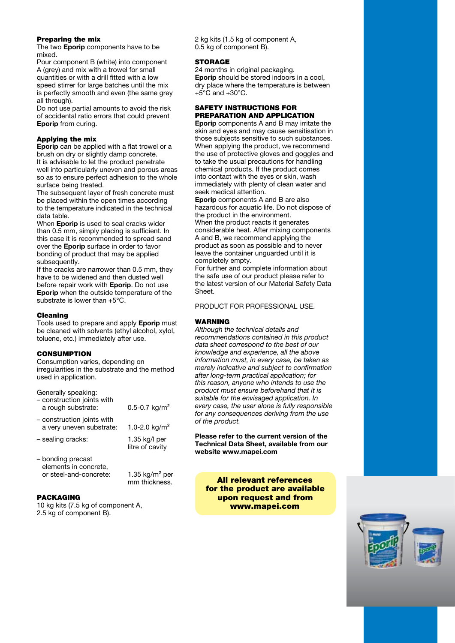## Preparing the mix

The two **Eporip** components have to be mixed.

Pour component B (white) into component A (grey) and mix with a trowel for small quantities or with a drill fitted with a low speed stirrer for large batches until the mix is perfectly smooth and even (the same grey all through).

Do not use partial amounts to avoid the risk of accidental ratio errors that could prevent Eporip from curing.

# Applying the mix

Eporip can be applied with a flat trowel or a brush on dry or slightly damp concrete. It is advisable to let the product penetrate well into particularly uneven and porous areas so as to ensure perfect adhesion to the whole surface being treated.

The subsequent layer of fresh concrete must be placed within the open times according to the temperature indicated in the technical data table.

When Eporip is used to seal cracks wider than 0.5 mm, simply placing is sufficient. In this case it is recommended to spread sand over the Eporip surface in order to favor bonding of product that may be applied subsequently.

If the cracks are narrower than 0.5 mm, they have to be widened and then dusted well before repair work with Eporip. Do not use Eporip when the outside temperature of the substrate is lower than +5°C.

## Cleaning

Tools used to prepare and apply Eporip must be cleaned with solvents (ethyl alcohol, xylol, toluene, etc.) immediately after use.

# **CONSUMPTION**

Consumption varies, depending on irregularities in the substrate and the method used in application.

| Generally speaking:<br>- construction joints with      |                                  |
|--------------------------------------------------------|----------------------------------|
| a rough substrate:                                     | 0.5-0.7 $kg/m2$                  |
| - construction joints with<br>a very uneven substrate: | 1.0-2.0 kg/m <sup>2</sup>        |
| - sealing cracks:                                      | 1.35 kg/l per<br>litre of cavity |
| — honding precast                                      |                                  |

mm thickness.

onding precast elements in concrete, or steel-and-concrete: 1.35 kg/m² per

# PACKAGING

10 kg kits (7.5 kg of component A, 2.5 kg of component B).

2 kg kits (1.5 kg of component A, 0.5 kg of component B).

# **STORAGE**

24 months in original packaging. Eporip should be stored indoors in a cool, dry place where the temperature is between  $+5^{\circ}$ C and  $+30^{\circ}$ C.

## SAFETY INSTRUCTIONS FOR PREPARATION AND APPLICATION

Eporip components A and B may irritate the skin and eyes and may cause sensitisation in those subjects sensitive to such substances. When applying the product, we recommend the use of protective gloves and goggles and to take the usual precautions for handling chemical products. If the product comes into contact with the eyes or skin, wash immediately with plenty of clean water and seek medical attention.

Eporip components A and B are also hazardous for aquatic life. Do not dispose of the product in the environment. When the product reacts it generates considerable heat. After mixing components A and B, we recommend applying the product as soon as possible and to never leave the container unguarded until it is completely empty.

For further and complete information about the safe use of our product please refer to the latest version of our Material Safety Data **Sheet** 

PRODUCT FOR PROFESSIONAL USE.

## WARNING

Although the technical details and recommendations contained in this product data sheet correspond to the best of our knowledge and experience, all the above information must, in every case, be taken as merely indicative and subject to confirmation after long-term practical application; for this reason, anyone who intends to use the product must ensure beforehand that it is suitable for the envisaged application. In every case, the user alone is fully responsible for any consequences deriving from the use of the product.

Please refer to the current version of the Technical Data Sheet, available from our website www.mapei.com

All relevant references for the product are available upon request and from www.mapei.com